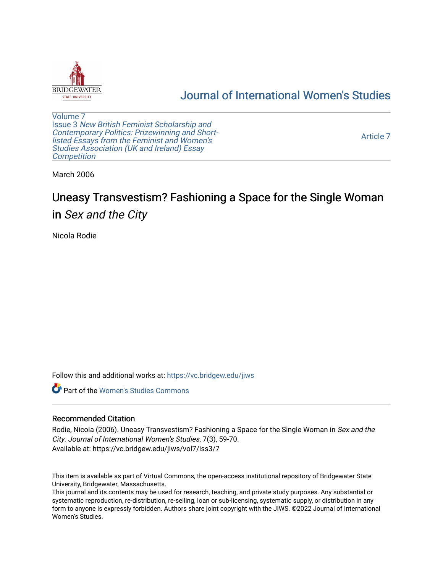

# [Journal of International Women's Studies](https://vc.bridgew.edu/jiws)

[Volume 7](https://vc.bridgew.edu/jiws/vol7) Issue 3 [New British Feminist Scholarship and](https://vc.bridgew.edu/jiws/vol7/iss3)  [Contemporary Politics: Prizewinning and Short](https://vc.bridgew.edu/jiws/vol7/iss3)[listed Essays from the Feminist and Women's](https://vc.bridgew.edu/jiws/vol7/iss3)  [Studies Association \(UK and Ireland\) Essay](https://vc.bridgew.edu/jiws/vol7/iss3)  **Competition** 

[Article 7](https://vc.bridgew.edu/jiws/vol7/iss3/7) 

March 2006

# Uneasy Transvestism? Fashioning a Space for the Single Woman in Sex and the City

Nicola Rodie

Follow this and additional works at: [https://vc.bridgew.edu/jiws](https://vc.bridgew.edu/jiws?utm_source=vc.bridgew.edu%2Fjiws%2Fvol7%2Fiss3%2F7&utm_medium=PDF&utm_campaign=PDFCoverPages)

**C** Part of the Women's Studies Commons

# Recommended Citation

Rodie, Nicola (2006). Uneasy Transvestism? Fashioning a Space for the Single Woman in Sex and the City. Journal of International Women's Studies, 7(3), 59-70. Available at: https://vc.bridgew.edu/jiws/vol7/iss3/7

This item is available as part of Virtual Commons, the open-access institutional repository of Bridgewater State University, Bridgewater, Massachusetts.

This journal and its contents may be used for research, teaching, and private study purposes. Any substantial or systematic reproduction, re-distribution, re-selling, loan or sub-licensing, systematic supply, or distribution in any form to anyone is expressly forbidden. Authors share joint copyright with the JIWS. ©2022 Journal of International Women's Studies.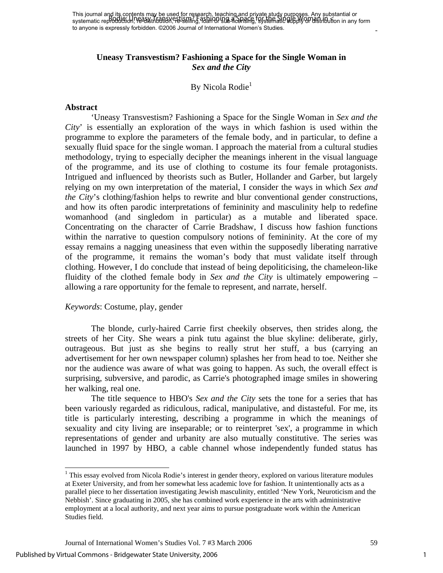# **Uneasy Transvestism? Fashioning a Space for the Single Woman in**  *Sex and the City*

# By Nicola Rodie<sup>1</sup>

#### **Abstract**

 'Uneasy Transvestism? Fashioning a Space for the Single Woman in *Sex and the City*' is essentially an exploration of the ways in which fashion is used within the programme to explore the parameters of the female body, and in particular, to define a sexually fluid space for the single woman. I approach the material from a cultural studies methodology, trying to especially decipher the meanings inherent in the visual language of the programme, and its use of clothing to costume its four female protagonists. Intrigued and influenced by theorists such as Butler, Hollander and Garber, but largely relying on my own interpretation of the material, I consider the ways in which *Sex and the City*'s clothing/fashion helps to rewrite and blur conventional gender constructions, and how its often parodic interpretations of femininity and masculinity help to redefine womanhood (and singledom in particular) as a mutable and liberated space. Concentrating on the character of Carrie Bradshaw, I discuss how fashion functions within the narrative to question compulsory notions of femininity. At the core of my essay remains a nagging uneasiness that even within the supposedly liberating narrative of the programme, it remains the woman's body that must validate itself through clothing. However, I do conclude that instead of being depoliticising, the chameleon-like fluidity of the clothed female body in *Sex and the City* is ultimately empowering – allowing a rare opportunity for the female to represent, and narrate, herself.

#### *Keywords*: Costume, play, gender

The blonde, curly-haired Carrie first cheekily observes, then strides along, the streets of her City. She wears a pink tutu against the blue skyline: deliberate, girly, outrageous. But just as she begins to really strut her stuff, a bus (carrying an advertisement for her own newspaper column) splashes her from head to toe. Neither she nor the audience was aware of what was going to happen. As such, the overall effect is surprising, subversive, and parodic, as Carrie's photographed image smiles in showering her walking, real one.

The title sequence to HBO's *Sex and the City* sets the tone for a series that has been variously regarded as ridiculous, radical, manipulative, and distasteful. For me, its title is particularly interesting, describing a programme in which the meanings of sexuality and city living are inseparable; or to reinterpret 'sex', a programme in which representations of gender and urbanity are also mutually constitutive. The series was launched in 1997 by HBO, a cable channel whose independently funded status has

l

<span id="page-1-0"></span><sup>&</sup>lt;sup>1</sup> This essay evolved from Nicola Rodie's interest in gender theory, explored on various literature modules at Exeter University, and from her somewhat less academic love for fashion. It unintentionally acts as a parallel piece to her dissertation investigating Jewish masculinity, entitled 'New York, Neuroticism and the Nebbish'. Since graduating in 2005, she has combined work experience in the arts with administrative employment at a local authority, and next year aims to pursue postgraduate work within the American Studies field.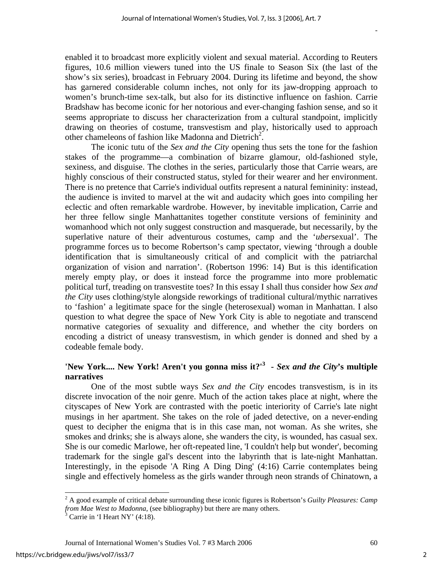enabled it to broadcast more explicitly violent and sexual material. According to Reuters figures, 10.6 million viewers tuned into the US finale to Season Six (the last of the show's six series), broadcast in February 2004. During its lifetime and beyond, the show has garnered considerable column inches, not only for its jaw-dropping approach to women's brunch-time sex-talk, but also for its distinctive influence on fashion. Carrie Bradshaw has become iconic for her notorious and ever-changing fashion sense, and so it seems appropriate to discuss her characterization from a cultural standpoint, implicitly drawing on theories of costume, transvestism and play, historically used to approach other chameleons of fashion like Madonna and Dietrich<sup>[2](#page-2-0)</sup>.

The iconic tutu of the *Sex and the City* opening thus sets the tone for the fashion stakes of the programme—a combination of bizarre glamour, old-fashioned style, sexiness, and disguise. The clothes in the series, particularly those that Carrie wears, are highly conscious of their constructed status, styled for their wearer and her environment. There is no pretence that Carrie's individual outfits represent a natural femininity: instead, the audience is invited to marvel at the wit and audacity which goes into compiling her eclectic and often remarkable wardrobe. However, by inevitable implication, Carrie and her three fellow single Manhattanites together constitute versions of femininity and womanhood which not only suggest construction and masquerade, but necessarily, by the superlative nature of their adventurous costumes, camp and the '*uber*sexual'. The programme forces us to become Robertson's camp spectator, viewing 'through a double identification that is simultaneously critical of and complicit with the patriarchal organization of vision and narration'. (Robertson 1996: 14) But is this identification merely empty play, or does it instead force the programme into more problematic political turf, treading on transvestite toes? In this essay I shall thus consider how *Sex and the City* uses clothing/style alongside reworkings of traditional cultural/mythic narratives to 'fashion' a legitimate space for the single (heterosexual) woman in Manhattan. I also question to what degree the space of New York City is able to negotiate and transcend normative categories of sexuality and difference, and whether the city borders on encoding a district of uneasy transvestism, in which gender is donned and shed by a codeable female body.

# **'New York.... New York! Aren't you gonna miss it?'<sup>3</sup> -** *Sex and the City***'s multiple narratives**

One of the most subtle ways *Sex and the City* encodes transvestism, is in its discrete invocation of the noir genre. Much of the action takes place at night, where the cityscapes of New York are contrasted with the poetic interiority of Carrie's late night musings in her apartment. She takes on the role of jaded detective, on a never-ending quest to decipher the enigma that is in this case man, not woman. As she writes, she smokes and drinks; she is always alone, she wanders the city, is wounded, has casual sex. She is our comedic Marlowe, her oft-repeated line, 'I couldn't help but wonder', becoming trademark for the single gal's descent into the labyrinth that is late-night Manhattan. Interestingly, in the episode 'A Ring A Ding Ding' (4:16) Carrie contemplates being single and effectively homeless as the girls wander through neon strands of Chinatown, a

l

<span id="page-2-0"></span><sup>2</sup> A good example of critical debate surrounding these iconic figures is Robertson's *Guilty Pleasures: Camp from Mae West to Madonna,* (see bibliography) but there are many others.

<span id="page-2-1"></span>Carrie in 'I Heart NY' (4:18).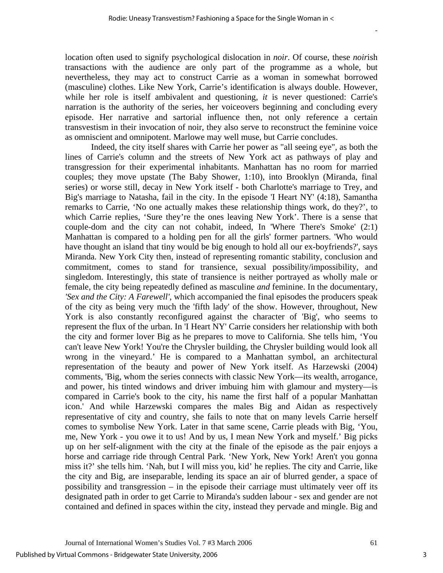location often used to signify psychological dislocation in *noir*. Of course, these *noir*ish transactions with the audience are only part of the programme as a whole, but nevertheless, they may act to construct Carrie as a woman in somewhat borrowed (masculine) clothes. Like New York, Carrie's identification is always double. However, while her role is itself ambivalent and questioning, *it* is never questioned: Carrie's narration is the authority of the series, her voiceovers beginning and concluding every episode. Her narrative and sartorial influence then, not only reference a certain transvestism in their invocation of noir, they also serve to reconstruct the feminine voice as omniscient and omnipotent. Marlowe may well muse, but Carrie concludes.

Indeed, the city itself shares with Carrie her power as "all seeing eye", as both the lines of Carrie's column and the streets of New York act as pathways of play and transgression for their experimental inhabitants. Manhattan has no room for married couples; they move upstate (The Baby Shower, 1:10), into Brooklyn (Miranda, final series) or worse still, decay in New York itself - both Charlotte's marriage to Trey, and Big's marriage to Natasha, fail in the city. In the episode 'I Heart NY' (4:18), Samantha remarks to Carrie, 'No one actually makes these relationship things work, do they?', to which Carrie replies, 'Sure they're the ones leaving New York'. There is a sense that couple-dom and the city can not cohabit, indeed, In 'Where There's Smoke' (2:1) Manhattan is compared to a holding pen for all the girls' former partners. 'Who would have thought an island that tiny would be big enough to hold all our ex-boyfriends?', says Miranda. New York City then, instead of representing romantic stability, conclusion and commitment, comes to stand for transience, sexual possibility/impossibility, and singledom. Interestingly, this state of transience is neither portrayed as wholly male or female, the city being repeatedly defined as masculine *and* feminine. In the documentary, *'Sex and the City: A Farewell'*, which accompanied the final episodes the producers speak of the city as being very much the 'fifth lady' of the show. However, throughout, New York is also constantly reconfigured against the character of 'Big', who seems to represent the flux of the urban. In 'I Heart NY' Carrie considers her relationship with both the city and former lover Big as he prepares to move to California. She tells him, 'You can't leave New York! You're the Chrysler building, the Chrysler building would look all wrong in the vineyard.' He is compared to a Manhattan symbol, an architectural representation of the beauty and power of New York itself. As Harzewski (2004) comments, 'Big, whom the series connects with classic New York—its wealth, arrogance, and power, his tinted windows and driver imbuing him with glamour and mystery—is compared in Carrie's book to the city, his name the first half of a popular Manhattan icon.' And while Harzewski compares the males Big and Aidan as respectively representative of city and country, she fails to note that on many levels Carrie herself comes to symbolise New York. Later in that same scene, Carrie pleads with Big, 'You, me, New York - you owe it to us! And by us, I mean New York and myself.' Big picks up on her self-alignment with the city at the finale of the episode as the pair enjoys a horse and carriage ride through Central Park. 'New York, New York! Aren't you gonna miss it?' she tells him. 'Nah, but I will miss you, kid' he replies. The city and Carrie, like the city and Big, are inseparable, lending its space an air of blurred gender, a space of possibility and transgression – in the episode their carriage must ultimately veer off its designated path in order to get Carrie to Miranda's sudden labour - sex and gender are not contained and defined in spaces within the city, instead they pervade and mingle. Big and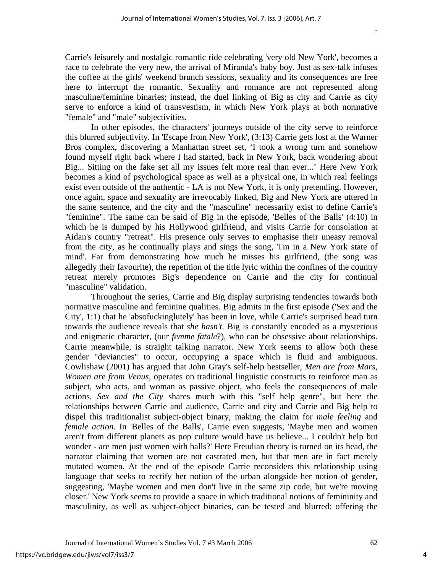Carrie's leisurely and nostalgic romantic ride celebrating 'very old New York', becomes a race to celebrate the very new, the arrival of Miranda's baby boy. Just as sex-talk infuses the coffee at the girls' weekend brunch sessions, sexuality and its consequences are free here to interrupt the romantic. Sexuality and romance are not represented along masculine/feminine binaries; instead, the duel linking of Big as city and Carrie as city serve to enforce a kind of transvestism, in which New York plays at both normative "female" and "male" subjectivities.

In other episodes, the characters' journeys outside of the city serve to reinforce this blurred subjectivity. In 'Escape from New York', (3:13) Carrie gets lost at the Warner Bros complex, discovering a Manhattan street set, 'I took a wrong turn and somehow found myself right back where I had started, back in New York, back wondering about Big... Sitting on the fake set all my issues felt more real than ever...' Here New York becomes a kind of psychological space as well as a physical one, in which real feelings exist even outside of the authentic - LA is not New York, it is only pretending. However, once again, space and sexuality are irrevocably linked, Big and New York are uttered in the same sentence, and the city and the "masculine" necessarily exist to define Carrie's "feminine". The same can be said of Big in the episode, 'Belles of the Balls' (4:10) in which he is dumped by his Hollywood girlfriend, and visits Carrie for consolation at Aidan's country "retreat". His presence only serves to emphasise their uneasy removal from the city, as he continually plays and sings the song, 'I'm in a New York state of mind'. Far from demonstrating how much he misses his girlfriend, (the song was allegedly their favourite), the repetition of the title lyric within the confines of the country retreat merely promotes Big's dependence on Carrie and the city for continual "masculine" validation.

Throughout the series, Carrie and Big display surprising tendencies towards both normative masculine and feminine qualities. Big admits in the first episode ('Sex and the City', 1:1) that he 'absofuckinglutely' has been in love, while Carrie's surprised head turn towards the audience reveals that *she hasn't*. Big is constantly encoded as a mysterious and enigmatic character, (our *femme fatale*?), who can be obsessive about relationships. Carrie meanwhile, is straight talking narrator. New York seems to allow both these gender "deviancies" to occur, occupying a space which is fluid and ambiguous. Cowlishaw (2001) has argued that John Gray's self-help bestseller, *Men are from Mars, Women are from Venus*, operates on traditional linguistic constructs to reinforce man as subject, who acts, and woman as passive object, who feels the consequences of male actions. *Sex and the City* shares much with this "self help genre", but here the relationships between Carrie and audience, Carrie and city and Carrie and Big help to dispel this traditionalist subject-object binary, making the claim for *male feeling* and *female action*. In 'Belles of the Balls', Carrie even suggests, 'Maybe men and women aren't from different planets as pop culture would have us believe... I couldn't help but wonder - are men just women with balls?' Here Freudian theory is turned on its head, the narrator claiming that women are not castrated men, but that men are in fact merely mutated women. At the end of the episode Carrie reconsiders this relationship using language that seeks to rectify her notion of the urban alongside her notion of gender, suggesting, 'Maybe women and men don't live in the same zip code, but we're moving closer.' New York seems to provide a space in which traditional notions of femininity and masculinity, as well as subject-object binaries, can be tested and blurred: offering the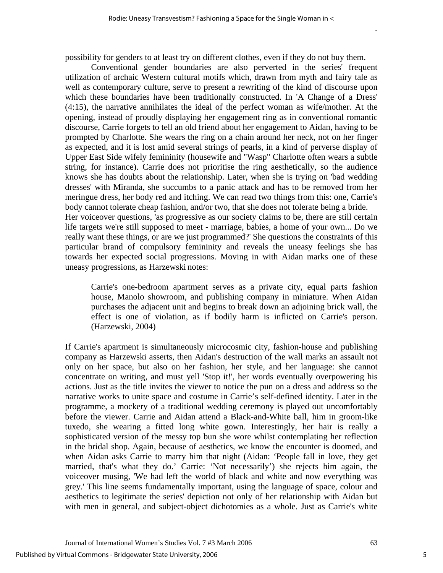possibility for genders to at least try on different clothes, even if they do not buy them.

Conventional gender boundaries are also perverted in the series' frequent utilization of archaic Western cultural motifs which, drawn from myth and fairy tale as well as contemporary culture, serve to present a rewriting of the kind of discourse upon which these boundaries have been traditionally constructed. In 'A Change of a Dress' (4:15), the narrative annihilates the ideal of the perfect woman as wife/mother. At the opening, instead of proudly displaying her engagement ring as in conventional romantic discourse, Carrie forgets to tell an old friend about her engagement to Aidan, having to be prompted by Charlotte. She wears the ring on a chain around her neck, not on her finger as expected, and it is lost amid several strings of pearls, in a kind of perverse display of Upper East Side wifely femininity (housewife and "Wasp" Charlotte often wears a subtle string, for instance). Carrie does not prioritise the ring aesthetically, so the audience knows she has doubts about the relationship. Later, when she is trying on 'bad wedding dresses' with Miranda, she succumbs to a panic attack and has to be removed from her meringue dress, her body red and itching. We can read two things from this: one, Carrie's body cannot tolerate cheap fashion, and/or two, that she does not tolerate being a bride. Her voiceover questions, 'as progressive as our society claims to be, there are still certain life targets we're still supposed to meet - marriage, babies, a home of your own... Do we really want these things, or are we just programmed?' She questions the constraints of this particular brand of compulsory femininity and reveals the uneasy feelings she has towards her expected social progressions. Moving in with Aidan marks one of these uneasy progressions, as Harzewski notes:

Carrie's one-bedroom apartment serves as a private city, equal parts fashion house, Manolo showroom, and publishing company in miniature. When Aidan purchases the adjacent unit and begins to break down an adjoining brick wall, the effect is one of violation, as if bodily harm is inflicted on Carrie's person. (Harzewski, 2004)

If Carrie's apartment is simultaneously microcosmic city, fashion-house and publishing company as Harzewski asserts, then Aidan's destruction of the wall marks an assault not only on her space, but also on her fashion, her style, and her language: she cannot concentrate on writing, and must yell 'Stop it!', her words eventually overpowering his actions. Just as the title invites the viewer to notice the pun on a dress and address so the narrative works to unite space and costume in Carrie's self-defined identity. Later in the programme, a mockery of a traditional wedding ceremony is played out uncomfortably before the viewer. Carrie and Aidan attend a Black-and-White ball, him in groom-like tuxedo, she wearing a fitted long white gown. Interestingly, her hair is really a sophisticated version of the messy top bun she wore whilst contemplating her reflection in the bridal shop. Again, because of aesthetics, we know the encounter is doomed, and when Aidan asks Carrie to marry him that night (Aidan: 'People fall in love, they get married, that's what they do.' Carrie: 'Not necessarily') she rejects him again, the voiceover musing, 'We had left the world of black and white and now everything was grey.' This line seems fundamentally important, using the language of space, colour and aesthetics to legitimate the series' depiction not only of her relationship with Aidan but with men in general, and subject-object dichotomies as a whole. Just as Carrie's white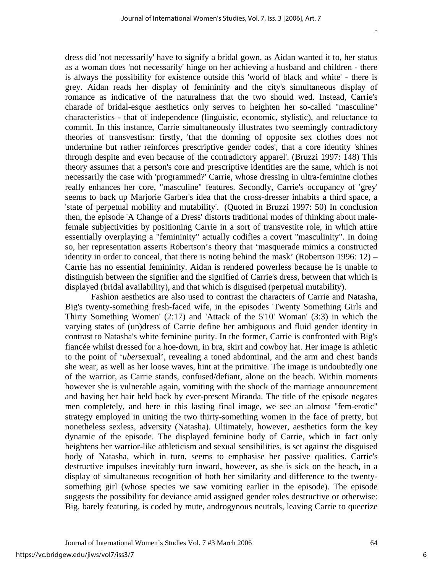dress did 'not necessarily' have to signify a bridal gown, as Aidan wanted it to, her status as a woman does 'not necessarily' hinge on her achieving a husband and children - there is always the possibility for existence outside this 'world of black and white' - there is grey. Aidan reads her display of femininity and the city's simultaneous display of romance as indicative of the naturalness that the two should wed. Instead, Carrie's charade of bridal-esque aesthetics only serves to heighten her so-called "masculine" characteristics - that of independence (linguistic, economic, stylistic), and reluctance to commit. In this instance, Carrie simultaneously illustrates two seemingly contradictory theories of transvestism: firstly, 'that the donning of opposite sex clothes does not undermine but rather reinforces prescriptive gender codes', that a core identity 'shines through despite and even because of the contradictory apparel'. (Bruzzi 1997: 148) This theory assumes that a person's core and prescriptive identities are the same, which is not necessarily the case with 'programmed?' Carrie, whose dressing in ultra-feminine clothes really enhances her core, "masculine" features. Secondly, Carrie's occupancy of 'grey' seems to back up Marjorie Garber's idea that the cross-dresser inhabits a third space, a 'state of perpetual mobility and mutability'. (Quoted in Bruzzi 1997: 50) In conclusion then, the episode 'A Change of a Dress' distorts traditional modes of thinking about malefemale subjectivities by positioning Carrie in a sort of transvestite role, in which attire essentially overplaying a "femininity" actually codifies a covert "masculinity". In doing so, her representation asserts Robertson's theory that 'masquerade mimics a constructed identity in order to conceal, that there is noting behind the mask' (Robertson 1996: 12) – Carrie has no essential femininity. Aidan is rendered powerless because he is unable to distinguish between the signifier and the signified of Carrie's dress, between that which is displayed (bridal availability), and that which is disguised (perpetual mutability).

Fashion aesthetics are also used to contrast the characters of Carrie and Natasha, Big's twenty-something fresh-faced wife, in the episodes 'Twenty Something Girls and Thirty Something Women' (2:17) and 'Attack of the 5'10' Woman' (3:3) in which the varying states of (un)dress of Carrie define her ambiguous and fluid gender identity in contrast to Natasha's white feminine purity. In the former, Carrie is confronted with Big's fiancée whilst dressed for a hoe-down, in bra, skirt and cowboy hat. Her image is athletic to the point of '*uber*sexual', revealing a toned abdominal, and the arm and chest bands she wear, as well as her loose waves, hint at the primitive. The image is undoubtedly one of the warrior, as Carrie stands, confused/defiant, alone on the beach. Within moments however she is vulnerable again, vomiting with the shock of the marriage announcement and having her hair held back by ever-present Miranda. The title of the episode negates men completely, and here in this lasting final image, we see an almost "fem-erotic" strategy employed in uniting the two thirty-something women in the face of pretty, but nonetheless sexless, adversity (Natasha). Ultimately, however, aesthetics form the key dynamic of the episode. The displayed feminine body of Carrie, which in fact only heightens her warrior-like athleticism and sexual sensibilities, is set against the disguised body of Natasha, which in turn, seems to emphasise her passive qualities. Carrie's destructive impulses inevitably turn inward, however, as she is sick on the beach, in a display of simultaneous recognition of both her similarity and difference to the twentysomething girl (whose species we saw vomiting earlier in the episode). The episode suggests the possibility for deviance amid assigned gender roles destructive or otherwise: Big, barely featuring, is coded by mute, androgynous neutrals, leaving Carrie to queerize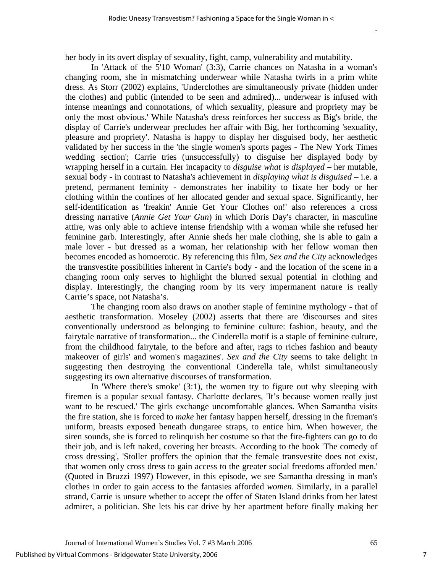her body in its overt display of sexuality, fight, camp, vulnerability and mutability.

In 'Attack of the 5'10 Woman' (3:3), Carrie chances on Natasha in a woman's changing room, she in mismatching underwear while Natasha twirls in a prim white dress. As Storr (2002) explains, 'Underclothes are simultaneously private (hidden under the clothes) and public (intended to be seen and admired)... underwear is infused with intense meanings and connotations, of which sexuality, pleasure and propriety may be only the most obvious.' While Natasha's dress reinforces her success as Big's bride, the display of Carrie's underwear precludes her affair with Big, her forthcoming 'sexuality, pleasure and propriety'. Natasha is happy to display her disguised body, her aesthetic validated by her success in the 'the single women's sports pages - The New York Times wedding section'; Carrie tries (unsuccessfully) to disguise her displayed body by wrapping herself in a curtain. Her incapacity to *disguise what is displayed –* her mutable, sexual body - in contrast to Natasha's achievement in *displaying what is disguised –* i.e. a pretend, permanent feminity - demonstrates her inability to fixate her body or her clothing within the confines of her allocated gender and sexual space. Significantly, her self-identification as 'freakin' Annie Get Your Clothes on!' also references a cross dressing narrative (*Annie Get Your Gun*) in which Doris Day's character, in masculine attire, was only able to achieve intense friendship with a woman while she refused her feminine garb. Interestingly, after Annie sheds her male clothing, she is able to gain a male lover - but dressed as a woman, her relationship with her fellow woman then becomes encoded as homoerotic. By referencing this film, *Sex and the City* acknowledges the transvestite possibilities inherent in Carrie's body - and the location of the scene in a changing room only serves to highlight the blurred sexual potential in clothing and display. Interestingly, the changing room by its very impermanent nature is really Carrie's space, not Natasha's.

The changing room also draws on another staple of feminine mythology - that of aesthetic transformation. Moseley (2002) asserts that there are 'discourses and sites conventionally understood as belonging to feminine culture: fashion, beauty, and the fairytale narrative of transformation... the Cinderella motif is a staple of feminine culture, from the childhood fairytale, to the before and after, rags to riches fashion and beauty makeover of girls' and women's magazines'. *Sex and the City* seems to take delight in suggesting then destroying the conventional Cinderella tale, whilst simultaneously suggesting its own alternative discourses of transformation.

In 'Where there's smoke' (3:1), the women try to figure out why sleeping with firemen is a popular sexual fantasy. Charlotte declares, 'It's because women really just want to be rescued.' The girls exchange uncomfortable glances. When Samantha visits the fire station, she is forced to *make* her fantasy happen herself, dressing in the fireman's uniform, breasts exposed beneath dungaree straps, to entice him. When however, the siren sounds, she is forced to relinquish her costume so that the fire-fighters can go to do their job, and is left naked, covering her breasts. According to the book 'The comedy of cross dressing', 'Stoller proffers the opinion that the female transvestite does not exist, that women only cross dress to gain access to the greater social freedoms afforded men.' (Quoted in Bruzzi 1997) However, in this episode, we see Samantha dressing in man's clothes in order to gain access to the fantasies afforded *women*. Similarly, in a parallel strand, Carrie is unsure whether to accept the offer of Staten Island drinks from her latest admirer, a politician. She lets his car drive by her apartment before finally making her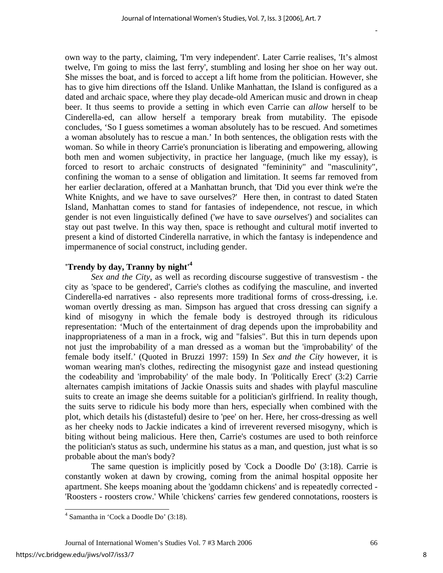own way to the party, claiming, 'I'm very independent'. Later Carrie realises, 'It's almost twelve, I'm going to miss the last ferry', stumbling and losing her shoe on her way out. She misses the boat, and is forced to accept a lift home from the politician. However, she has to give him directions off the Island. Unlike Manhattan, the Island is configured as a dated and archaic space, where they play decade-old American music and drown in cheap beer. It thus seems to provide a setting in which even Carrie can *allow* herself to be Cinderella-ed, can allow herself a temporary break from mutability. The episode concludes, 'So I guess sometimes a woman absolutely has to be rescued. And sometimes a woman absolutely has to rescue a man.' In both sentences, the obligation rests with the woman. So while in theory Carrie's pronunciation is liberating and empowering, allowing both men and women subjectivity, in practice her language, (much like my essay), is forced to resort to archaic constructs of designated "femininity" and "masculinity", confining the woman to a sense of obligation and limitation. It seems far removed from her earlier declaration, offered at a Manhattan brunch, that 'Did you ever think we're the White Knights, and we have to save ourselves?' Here then, in contrast to dated Staten Island, Manhattan comes to stand for fantasies of independence, not rescue, in which gender is not even linguistically defined ('*we* have to save *our*selves') and socialites can stay out past twelve. In this way then, space is rethought and cultural motif inverted to present a kind of distorted Cinderella narrative, in which the fantasy is independence and impermanence of social construct, including gender.

# **'Trendy by day, Tranny by night'[4](#page-8-0)**

*Sex and the City*, as well as recording discourse suggestive of transvestism - the city as 'space to be gendered', Carrie's clothes as codifying the masculine, and inverted Cinderella-ed narratives - also represents more traditional forms of cross-dressing, i.e. woman overtly dressing as man. Simpson has argued that cross dressing can signify a kind of misogyny in which the female body is destroyed through its ridiculous representation: 'Much of the entertainment of drag depends upon the improbability and inappropriateness of a man in a frock, wig and "falsies". But this in turn depends upon not just the improbability of a man dressed as a woman but the 'improbability' of the female body itself.' (Quoted in Bruzzi 1997: 159) In *Sex and the City* however, it is woman wearing man's clothes, redirecting the misogynist gaze and instead questioning the codeability and 'improbability' of the male body. In 'Politically Erect' (3:2) Carrie alternates campish imitations of Jackie Onassis suits and shades with playful masculine suits to create an image she deems suitable for a politician's girlfriend. In reality though, the suits serve to ridicule his body more than hers, especially when combined with the plot, which details his (distasteful) desire to 'pee' on her. Here, her cross-dressing as well as her cheeky nods to Jackie indicates a kind of irreverent reversed misogyny, which is biting without being malicious. Here then, Carrie's costumes are used to both reinforce the politician's status as such, undermine his status as a man, and question, just what is so probable about the man's body?

The same question is implicitly posed by 'Cock a Doodle Do' (3:18). Carrie is constantly woken at dawn by crowing, coming from the animal hospital opposite her apartment. She keeps moaning about the 'goddamn chickens' and is repeatedly corrected - 'Roosters - roosters crow.' While 'chickens' carries few gendered connotations, roosters is

Journal of International Women's Studies Vol. 7 #3 March 2006 66

 $\overline{a}$ 

<span id="page-8-0"></span><sup>4</sup> Samantha in 'Cock a Doodle Do' (3:18).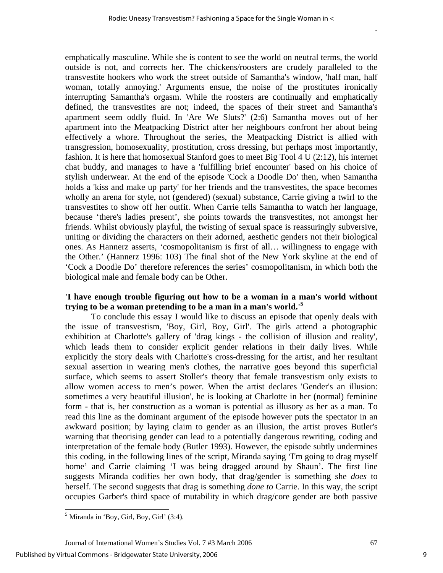emphatically masculine. While she is content to see the world on neutral terms, the world outside is not, and corrects her. The chickens/roosters are crudely paralleled to the transvestite hookers who work the street outside of Samantha's window, 'half man, half woman, totally annoying.' Arguments ensue, the noise of the prostitutes ironically interrupting Samantha's orgasm. While the roosters are continually and emphatically defined, the transvestites are not; indeed, the spaces of their street and Samantha's apartment seem oddly fluid. In 'Are We Sluts?' (2:6) Samantha moves out of her apartment into the Meatpacking District after her neighbours confront her about being effectively a whore. Throughout the series, the Meatpacking District is allied with transgression, homosexuality, prostitution, cross dressing, but perhaps most importantly, fashion. It is here that homosexual Stanford goes to meet Big Tool 4 U (2:12), his internet chat buddy, and manages to have a 'fulfilling brief encounter' based on his choice of stylish underwear. At the end of the episode 'Cock a Doodle Do' then, when Samantha holds a 'kiss and make up party' for her friends and the transvestites, the space becomes wholly an arena for style, not (gendered) (sexual) substance, Carrie giving a twirl to the transvestites to show off her outfit. When Carrie tells Samantha to watch her language, because 'there's ladies present', she points towards the transvestites, not amongst her friends. Whilst obviously playful, the twisting of sexual space is reassuringly subversive, uniting or dividing the characters on their adorned, aesthetic genders not their biological ones. As Hannerz asserts, 'cosmopolitanism is first of all… willingness to engage with the Other.' (Hannerz 1996: 103) The final shot of the New York skyline at the end of 'Cock a Doodle Do' therefore references the series' cosmopolitanism, in which both the biological male and female body can be Other.

# **'I have enough trouble figuring out how to be a woman in a man's world without trying to be a woman pretending to be a man in a man's world.'[5](#page-9-0)**

To conclude this essay I would like to discuss an episode that openly deals with the issue of transvestism, 'Boy, Girl, Boy, Girl'. The girls attend a photographic exhibition at Charlotte's gallery of 'drag kings - the collision of illusion and reality', which leads them to consider explicit gender relations in their daily lives. While explicitly the story deals with Charlotte's cross-dressing for the artist, and her resultant sexual assertion in wearing men's clothes, the narrative goes beyond this superficial surface, which seems to assert Stoller's theory that female transvestism only exists to allow women access to men's power. When the artist declares 'Gender's an illusion: sometimes a very beautiful illusion', he is looking at Charlotte in her (normal) feminine form - that is, her construction as a woman is potential as illusory as her as a man. To read this line as the dominant argument of the episode however puts the spectator in an awkward position; by laying claim to gender as an illusion, the artist proves Butler's warning that theorising gender can lead to a potentially dangerous rewriting, coding and interpretation of the female body (Butler 1993). However, the episode subtly undermines this coding, in the following lines of the script, Miranda saying 'I'm going to drag myself home' and Carrie claiming 'I was being dragged around by Shaun'. The first line suggests Miranda codifies her own body, that drag/gender is something she *does* to herself. The second suggests that drag is something *done to* Carrie. In this way, the script occupies Garber's third space of mutability in which drag/core gender are both passive

 $\overline{a}$ 

Journal of International Women's Studies Vol. 7 #3 March 2006 67

<span id="page-9-0"></span> $<sup>5</sup>$  Miranda in 'Boy, Girl, Boy, Girl' (3:4).</sup>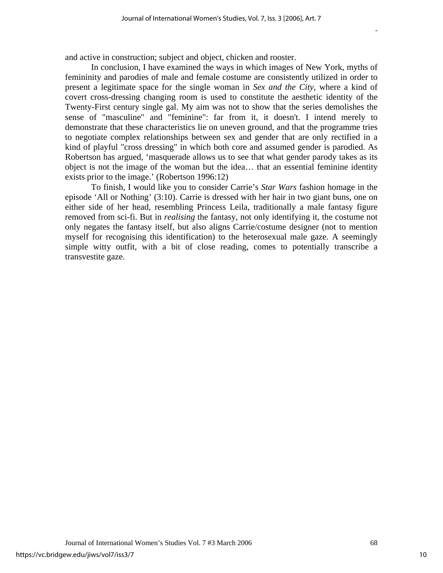and active in construction; subject and object, chicken and rooster.

In conclusion, I have examined the ways in which images of New York, myths of femininity and parodies of male and female costume are consistently utilized in order to present a legitimate space for the single woman in *Sex and the City*, where a kind of covert cross-dressing changing room is used to constitute the aesthetic identity of the Twenty-First century single gal. My aim was not to show that the series demolishes the sense of "masculine" and "feminine": far from it, it doesn't. I intend merely to demonstrate that these characteristics lie on uneven ground, and that the programme tries to negotiate complex relationships between sex and gender that are only rectified in a kind of playful "cross dressing" in which both core and assumed gender is parodied. As Robertson has argued, 'masquerade allows us to see that what gender parody takes as its object is not the image of the woman but the idea… that an essential feminine identity exists prior to the image.' (Robertson 1996:12)

To finish, I would like you to consider Carrie's *Star Wars* fashion homage in the episode 'All or Nothing' (3:10). Carrie is dressed with her hair in two giant buns, one on either side of her head, resembling Princess Leila, traditionally a male fantasy figure removed from sci-fi. But in *realising* the fantasy, not only identifying it, the costume not only negates the fantasy itself, but also aligns Carrie/costume designer (not to mention myself for recognising this identification) to the heterosexual male gaze. A seemingly simple witty outfit, with a bit of close reading, comes to potentially transcribe a transvestite gaze.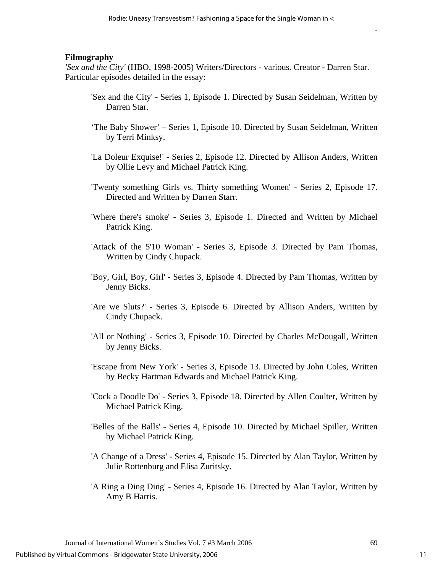#### **Filmography**

*'Sex and the City'* (HBO, 1998-2005) Writers/Directors - various. Creator - Darren Star. Particular episodes detailed in the essay:

- 'Sex and the City' Series 1, Episode 1. Directed by Susan Seidelman, Written by Darren Star.
- 'The Baby Shower' Series 1, Episode 10. Directed by Susan Seidelman, Written by Terri Minksy.
- 'La Doleur Exquise!' Series 2, Episode 12. Directed by Allison Anders, Written by Ollie Levy and Michael Patrick King.
- 'Twenty something Girls vs. Thirty something Women' Series 2, Episode 17. Directed and Written by Darren Starr.
- 'Where there's smoke' Series 3, Episode 1. Directed and Written by Michael Patrick King.
- 'Attack of the 5'10 Woman' Series 3, Episode 3. Directed by Pam Thomas, Written by Cindy Chupack.
- 'Boy, Girl, Boy, Girl' Series 3, Episode 4. Directed by Pam Thomas, Written by Jenny Bicks.
- 'Are we Sluts?' Series 3, Episode 6. Directed by Allison Anders, Written by Cindy Chupack.
- 'All or Nothing' Series 3, Episode 10. Directed by Charles McDougall, Written by Jenny Bicks.
- 'Escape from New York' Series 3, Episode 13. Directed by John Coles, Written by Becky Hartman Edwards and Michael Patrick King.
- 'Cock a Doodle Do' Series 3, Episode 18. Directed by Allen Coulter, Written by Michael Patrick King.
- 'Belles of the Balls' Series 4, Episode 10. Directed by Michael Spiller, Written by Michael Patrick King.
- 'A Change of a Dress' Series 4, Episode 15. Directed by Alan Taylor, Written by Julie Rottenburg and Elisa Zuritsky.
- 'A Ring a Ding Ding' Series 4, Episode 16. Directed by Alan Taylor, Written by Amy B Harris.